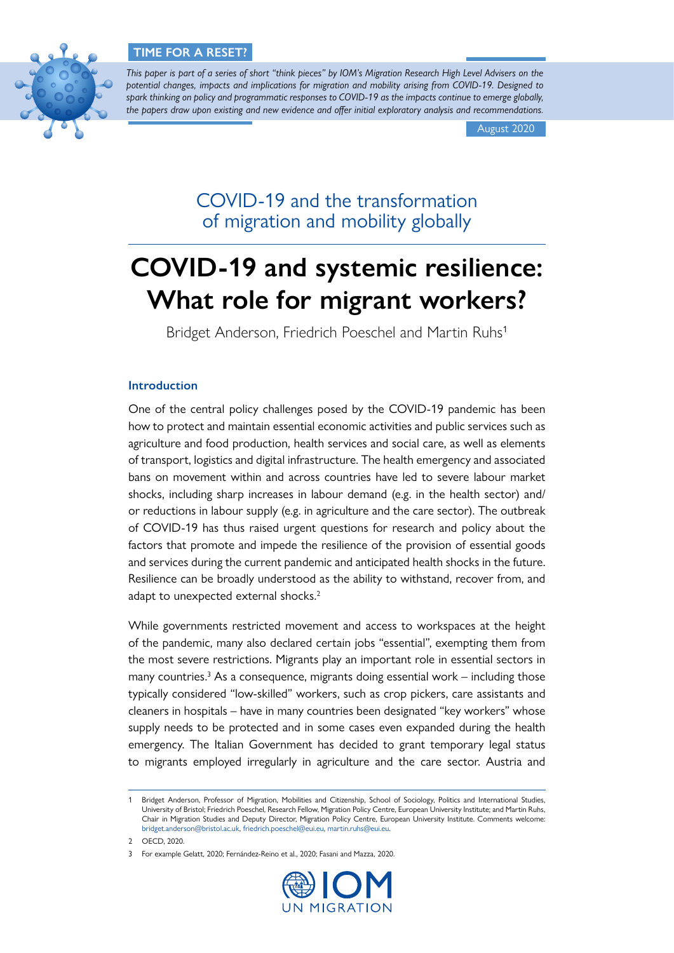

*This paper is part of a series of short "think pieces" by IOM's Migration Research High Level Advisers on the potential changes, impacts and implications for migration and mobility arising from COVID-19. Designed to spark thinking on policy and programmatic responses to COVID-19 as the impacts continue to emerge globally, the papers draw upon existing and new evidence and offer initial exploratory analysis and recommendations.*

August 2020

COVID-19 and the transformation of migration and mobility globally

# **COVID-19 and systemic resilience: What role for migrant workers?**

Bridget Anderson, Friedrich Poeschel and Martin Ruhs<sup>1</sup>

## **Introduction**

One of the central policy challenges posed by the COVID-19 pandemic has been how to protect and maintain essential economic activities and public services such as agriculture and food production, health services and social care, as well as elements of transport, logistics and digital infrastructure. The health emergency and associated bans on movement within and across countries have led to severe labour market shocks, including sharp increases in labour demand (e.g. in the health sector) and/ or reductions in labour supply (e.g. in agriculture and the care sector). The outbreak of COVID-19 has thus raised urgent questions for research and policy about the factors that promote and impede the resilience of the provision of essential goods and services during the current pandemic and anticipated health shocks in the future. Resilience can be broadly understood as the ability to withstand, recover from, and adapt to unexpected external shocks.<sup>2</sup>

While governments restricted movement and access to workspaces at the height of the pandemic, many also declared certain jobs "essential", exempting them from the most severe restrictions. Migrants play an important role in essential sectors in many countries.<sup>3</sup> As a consequence, migrants doing essential work – including those typically considered "low-skilled" workers, such as crop pickers, care assistants and cleaners in hospitals – have in many countries been designated "key workers" whose supply needs to be protected and in some cases even expanded during the health emergency. The Italian Government has decided to grant temporary legal status to migrants employed irregularly in agriculture and the care sector. Austria and

<sup>3</sup> For example Gelatt, 2020; Fernández-Reino et al., 2020; Fasani and Mazza, 2020.



<sup>1</sup> Bridget Anderson, Professor of Migration, Mobilities and Citizenship, School of Sociology, Politics and International Studies, University of Bristol; Friedrich Poeschel, Research Fellow, Migration Policy Centre, European University Institute; and Martin Ruhs, Chair in Migration Studies and Deputy Director, Migration Policy Centre, European University Institute. Comments welcome: [bridget.anderson@bristol.ac.uk,](mailto:bridget.anderson%40bristol.ac.uk?subject=) [friedrich.poeschel@eui.eu](mailto:friedrich.poeschel%40eui.eu?subject=), [martin.ruhs@eui.eu.](mailto:martin.ruhs%40eui.eu?subject=)

<sup>2</sup> OECD, 2020.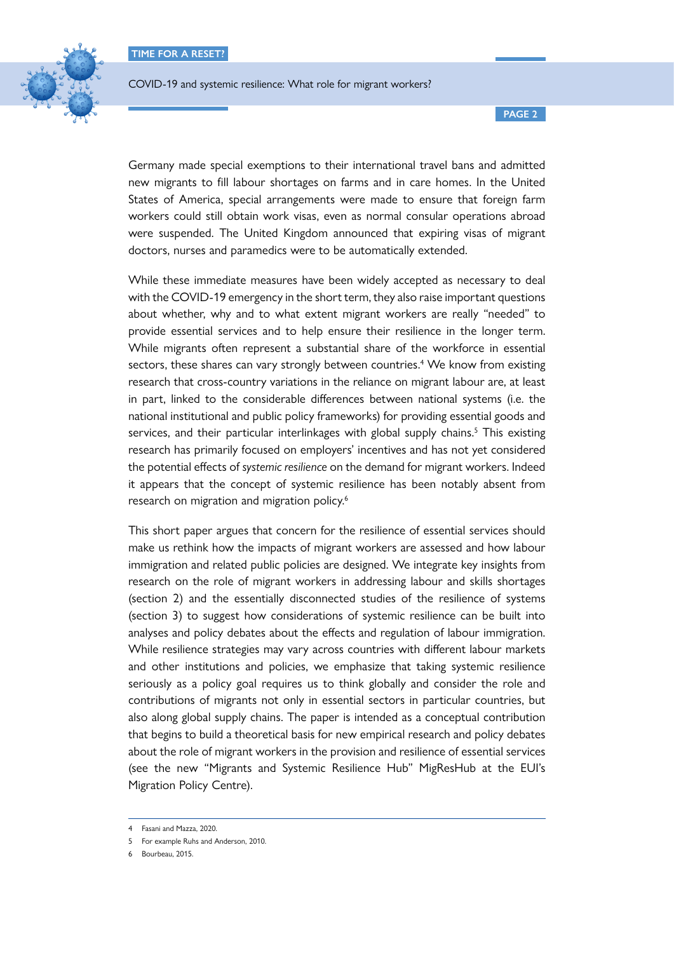

**PAGE 2**

Germany made special exemptions to their international travel bans and admitted new migrants to fill labour shortages on farms and in care homes. In the United States of America, special arrangements were made to ensure that foreign farm workers could still obtain work visas, even as normal consular operations abroad were suspended. The United Kingdom announced that expiring visas of migrant doctors, nurses and paramedics were to be automatically extended.

While these immediate measures have been widely accepted as necessary to deal with the COVID-19 emergency in the short term, they also raise important questions about whether, why and to what extent migrant workers are really "needed" to provide essential services and to help ensure their resilience in the longer term. While migrants often represent a substantial share of the workforce in essential sectors, these shares can vary strongly between countries.<sup>4</sup> We know from existing research that cross-country variations in the reliance on migrant labour are, at least in part, linked to the considerable differences between national systems (i.e. the national institutional and public policy frameworks) for providing essential goods and services, and their particular interlinkages with global supply chains.<sup>5</sup> This existing research has primarily focused on employers' incentives and has not yet considered the potential effects of *systemic resilience* on the demand for migrant workers. Indeed it appears that the concept of systemic resilience has been notably absent from research on migration and migration policy.<sup>6</sup>

This short paper argues that concern for the resilience of essential services should make us rethink how the impacts of migrant workers are assessed and how labour immigration and related public policies are designed. We integrate key insights from research on the role of migrant workers in addressing labour and skills shortages (section 2) and the essentially disconnected studies of the resilience of systems (section 3) to suggest how considerations of systemic resilience can be built into analyses and policy debates about the effects and regulation of labour immigration. While resilience strategies may vary across countries with different labour markets and other institutions and policies, we emphasize that taking systemic resilience seriously as a policy goal requires us to think globally and consider the role and contributions of migrants not only in essential sectors in particular countries, but also along global supply chains. The paper is intended as a conceptual contribution that begins to build a theoretical basis for new empirical research and policy debates about the role of migrant workers in the provision and resilience of essential services (see the new "Migrants and Systemic Resilience Hub" [MigResHub](https://migrationpolicycentre.eu/projects/migrants-resilience-global-covid19-research-policy-mig-res-hub/) at the EUI's Migration Policy Centre).

<sup>4</sup> Fasani and Mazza, 2020.

<sup>5</sup> For example Ruhs and Anderson, 2010.

<sup>6</sup> Bourbeau, 2015.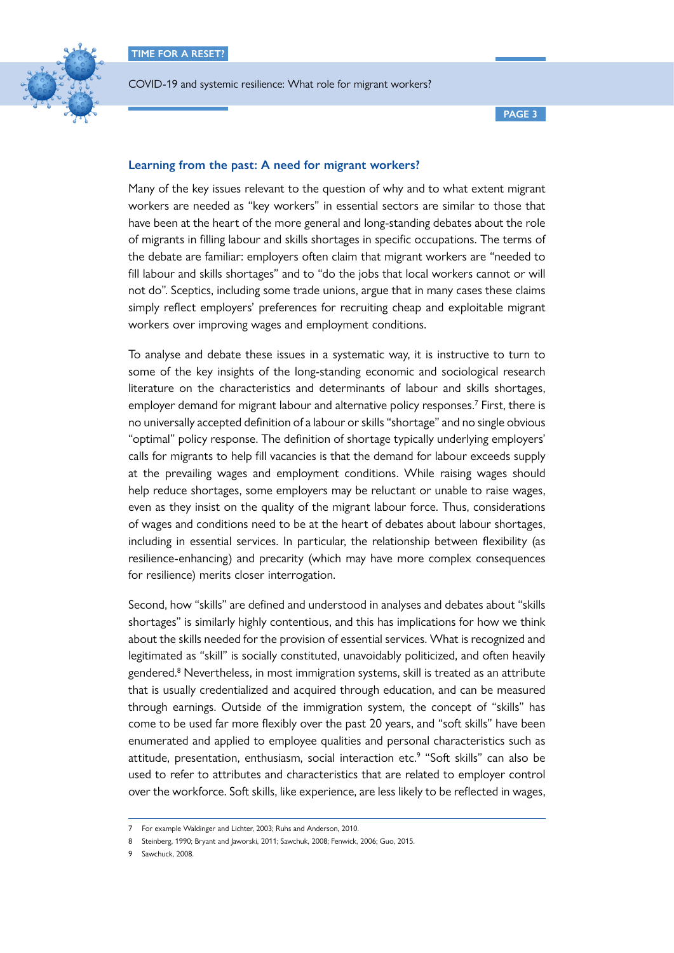

## **Learning from the past: A need for migrant workers?**

Many of the key issues relevant to the question of why and to what extent migrant workers are needed as "key workers" in essential sectors are similar to those that have been at the heart of the more general and long-standing debates about the role of migrants in filling labour and skills shortages in specific occupations. The terms of the debate are familiar: employers often claim that migrant workers are "needed to fill labour and skills shortages" and to "do the jobs that local workers cannot or will not do". Sceptics, including some trade unions, argue that in many cases these claims simply reflect employers' preferences for recruiting cheap and exploitable migrant workers over improving wages and employment conditions.

To analyse and debate these issues in a systematic way, it is instructive to turn to some of the key insights of the long-standing economic and sociological research literature on the characteristics and determinants of labour and skills shortages, employer demand for migrant labour and alternative policy responses.<sup>7</sup> First, there is no universally accepted definition of a labour or skills "shortage" and no single obvious "optimal" policy response. The definition of shortage typically underlying employers' calls for migrants to help fill vacancies is that the demand for labour exceeds supply at the prevailing wages and employment conditions. While raising wages should help reduce shortages, some employers may be reluctant or unable to raise wages, even as they insist on the quality of the migrant labour force. Thus, considerations of wages and conditions need to be at the heart of debates about labour shortages, including in essential services. In particular, the relationship between flexibility (as resilience-enhancing) and precarity (which may have more complex consequences for resilience) merits closer interrogation.

Second, how "skills" are defined and understood in analyses and debates about "skills shortages" is similarly highly contentious, and this has implications for how we think about the skills needed for the provision of essential services. What is recognized and legitimated as "skill" is socially constituted, unavoidably politicized, and often heavily gendered.<sup>8</sup> Nevertheless, in most immigration systems, skill is treated as an attribute that is usually credentialized and acquired through education, and can be measured through earnings. Outside of the immigration system, the concept of "skills" has come to be used far more flexibly over the past 20 years, and "soft skills" have been enumerated and applied to employee qualities and personal characteristics such as attitude, presentation, enthusiasm, social interaction etc.<sup>9</sup> "Soft skills" can also be used to refer to attributes and characteristics that are related to employer control over the workforce. Soft skills, like experience, are less likely to be reflected in wages,

<sup>7</sup> For example Waldinger and Lichter, 2003; Ruhs and Anderson, 2010.

<sup>8</sup> Steinberg, 1990; Bryant and Jaworski, 2011; Sawchuk, 2008; Fenwick, 2006; Guo, 2015.

<sup>9</sup> Sawchuck, 2008.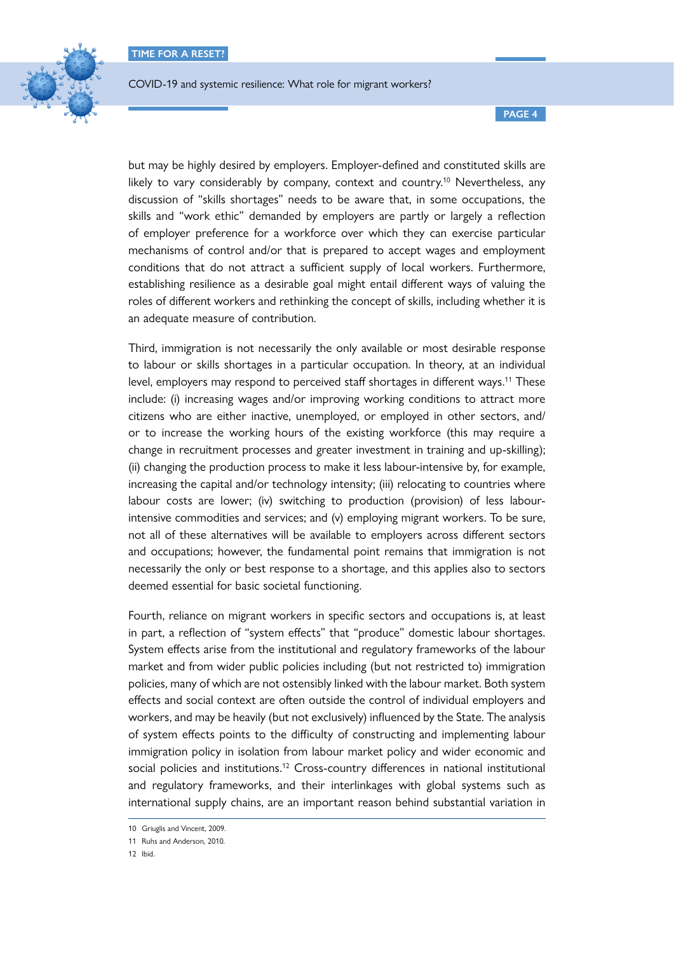

but may be highly desired by employers. Employer-defined and constituted skills are likely to vary considerably by company, context and country.<sup>10</sup> Nevertheless, any discussion of "skills shortages" needs to be aware that, in some occupations, the skills and "work ethic" demanded by employers are partly or largely a reflection of employer preference for a workforce over which they can exercise particular mechanisms of control and/or that is prepared to accept wages and employment conditions that do not attract a sufficient supply of local workers. Furthermore, establishing resilience as a desirable goal might entail different ways of valuing the roles of different workers and rethinking the concept of skills, including whether it is an adequate measure of contribution.

Third, immigration is not necessarily the only available or most desirable response to labour or skills shortages in a particular occupation. In theory, at an individual level, employers may respond to perceived staff shortages in different ways.<sup>11</sup> These include: (i) increasing wages and/or improving working conditions to attract more citizens who are either inactive, unemployed, or employed in other sectors, and/ or to increase the working hours of the existing workforce (this may require a change in recruitment processes and greater investment in training and up-skilling); (ii) changing the production process to make it less labour-intensive by, for example, increasing the capital and/or technology intensity; (iii) relocating to countries where labour costs are lower; (iv) switching to production (provision) of less labourintensive commodities and services; and (v) employing migrant workers. To be sure, not all of these alternatives will be available to employers across different sectors and occupations; however, the fundamental point remains that immigration is not necessarily the only or best response to a shortage, and this applies also to sectors deemed essential for basic societal functioning.

Fourth, reliance on migrant workers in specific sectors and occupations is, at least in part, a reflection of "system effects" that "produce" domestic labour shortages. System effects arise from the institutional and regulatory frameworks of the labour market and from wider public policies including (but not restricted to) immigration policies, many of which are not ostensibly linked with the labour market. Both system effects and social context are often outside the control of individual employers and workers, and may be heavily (but not exclusively) influenced by the State. The analysis of system effects points to the difficulty of constructing and implementing labour immigration policy in isolation from labour market policy and wider economic and social policies and institutions.<sup>12</sup> Cross-country differences in national institutional and regulatory frameworks, and their interlinkages with global systems such as international supply chains, are an important reason behind substantial variation in

<sup>10</sup> Griuglis and Vincent, 2009.

<sup>11</sup> Ruhs and Anderson, 2010.

<sup>12</sup> Ibid.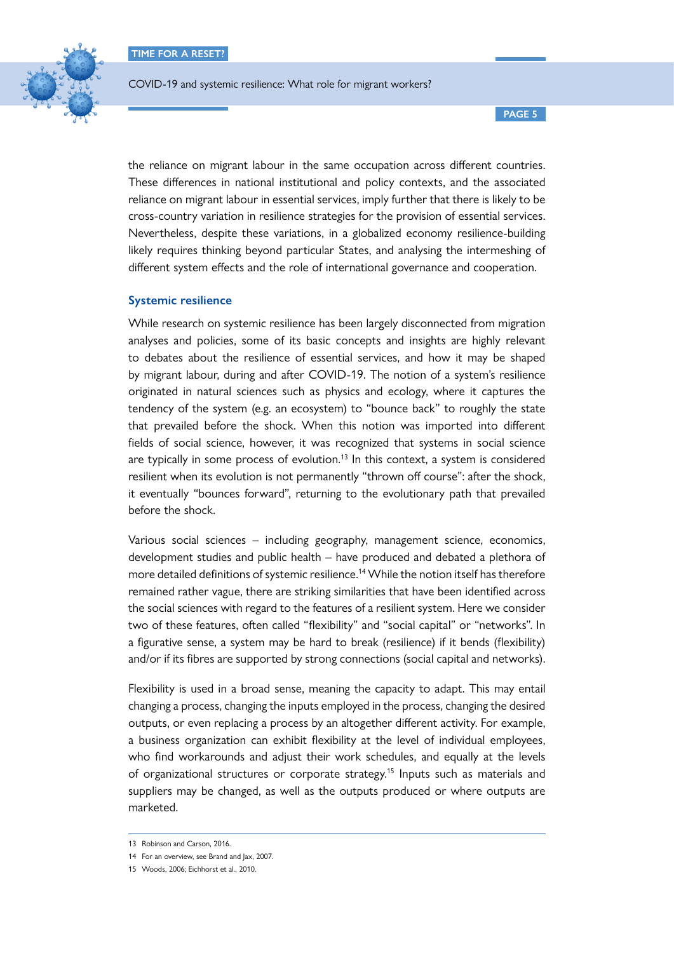

COVID-19 and systemic resilience: What role for migrant workers?

**PAGE 5**

the reliance on migrant labour in the same occupation across different countries. These differences in national institutional and policy contexts, and the associated reliance on migrant labour in essential services, imply further that there is likely to be cross-country variation in resilience strategies for the provision of essential services. Nevertheless, despite these variations, in a globalized economy resilience-building likely requires thinking beyond particular States, and analysing the intermeshing of different system effects and the role of international governance and cooperation.

#### **Systemic resilience**

While research on systemic resilience has been largely disconnected from migration analyses and policies, some of its basic concepts and insights are highly relevant to debates about the resilience of essential services, and how it may be shaped by migrant labour, during and after COVID-19. The notion of a system's resilience originated in natural sciences such as physics and ecology, where it captures the tendency of the system (e.g. an ecosystem) to "bounce back" to roughly the state that prevailed before the shock. When this notion was imported into different fields of social science, however, it was recognized that systems in social science are typically in some process of evolution.<sup>13</sup> In this context, a system is considered resilient when its evolution is not permanently "thrown off course": after the shock, it eventually "bounces forward", returning to the evolutionary path that prevailed before the shock.

Various social sciences – including geography, management science, economics, development studies and public health – have produced and debated a plethora of more detailed definitions of systemic resilience.<sup>14</sup> While the notion itself has therefore remained rather vague, there are striking similarities that have been identified across the social sciences with regard to the features of a resilient system. Here we consider two of these features, often called "flexibility" and "social capital" or "networks". In a figurative sense, a system may be hard to break (resilience) if it bends (flexibility) and/or if its fibres are supported by strong connections (social capital and networks).

Flexibility is used in a broad sense, meaning the capacity to adapt. This may entail changing a process, changing the inputs employed in the process, changing the desired outputs, or even replacing a process by an altogether different activity. For example, a business organization can exhibit flexibility at the level of individual employees, who find workarounds and adjust their work schedules, and equally at the levels of organizational structures or corporate strategy.<sup>15</sup> Inputs such as materials and suppliers may be changed, as well as the outputs produced or where outputs are marketed.

<sup>13</sup> Robinson and Carson, 2016.

<sup>14</sup> For an overview, see Brand and Jax, 2007.

<sup>15</sup> Woods, 2006; Eichhorst et al., 2010.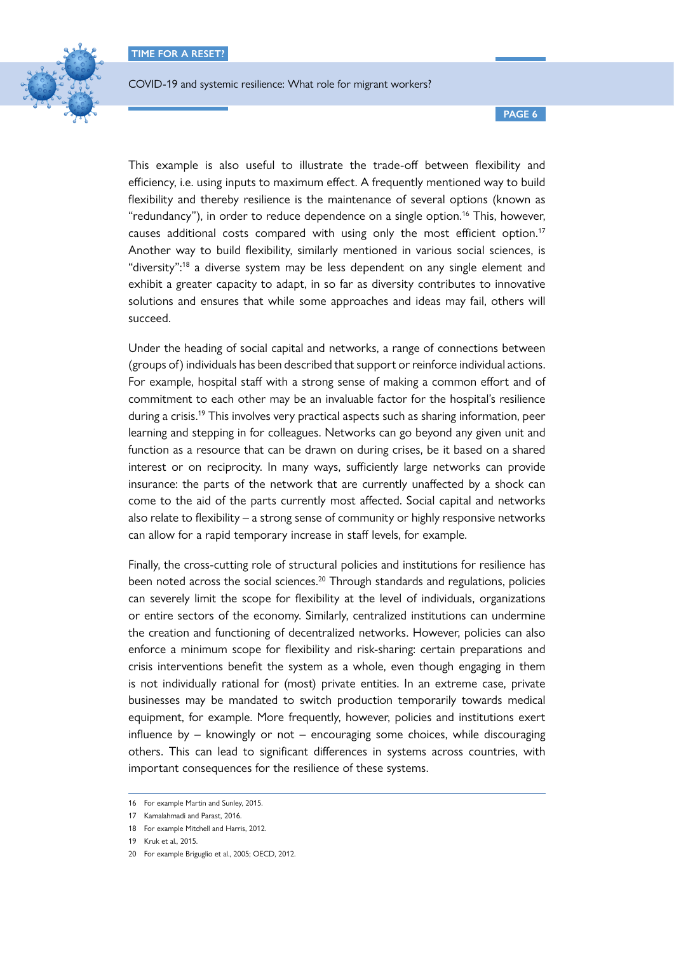

This example is also useful to illustrate the trade-off between flexibility and efficiency, i.e. using inputs to maximum effect. A frequently mentioned way to build flexibility and thereby resilience is the maintenance of several options (known as "redundancy"), in order to reduce dependence on a single option.<sup>16</sup> This, however, causes additional costs compared with using only the most efficient option.<sup>17</sup> Another way to build flexibility, similarly mentioned in various social sciences, is "diversity":18 a diverse system may be less dependent on any single element and exhibit a greater capacity to adapt, in so far as diversity contributes to innovative solutions and ensures that while some approaches and ideas may fail, others will succeed.

Under the heading of social capital and networks, a range of connections between (groups of) individuals has been described that support or reinforce individual actions. For example, hospital staff with a strong sense of making a common effort and of commitment to each other may be an invaluable factor for the hospital's resilience during a crisis.<sup>19</sup> This involves very practical aspects such as sharing information, peer learning and stepping in for colleagues. Networks can go beyond any given unit and function as a resource that can be drawn on during crises, be it based on a shared interest or on reciprocity. In many ways, sufficiently large networks can provide insurance: the parts of the network that are currently unaffected by a shock can come to the aid of the parts currently most affected. Social capital and networks also relate to flexibility – a strong sense of community or highly responsive networks can allow for a rapid temporary increase in staff levels, for example.

Finally, the cross-cutting role of structural policies and institutions for resilience has been noted across the social sciences.<sup>20</sup> Through standards and regulations, policies can severely limit the scope for flexibility at the level of individuals, organizations or entire sectors of the economy. Similarly, centralized institutions can undermine the creation and functioning of decentralized networks. However, policies can also enforce a minimum scope for flexibility and risk-sharing: certain preparations and crisis interventions benefit the system as a whole, even though engaging in them is not individually rational for (most) private entities. In an extreme case, private businesses may be mandated to switch production temporarily towards medical equipment, for example. More frequently, however, policies and institutions exert influence by – knowingly or not – encouraging some choices, while discouraging others. This can lead to significant differences in systems across countries, with important consequences for the resilience of these systems.

<sup>16</sup> For example Martin and Sunley, 2015.

<sup>17</sup> Kamalahmadi and Parast, 2016.

<sup>18</sup> For example Mitchell and Harris, 2012.

<sup>19</sup> Kruk et al., 2015.

<sup>20</sup> For example Briguglio et al., 2005; OECD, 2012.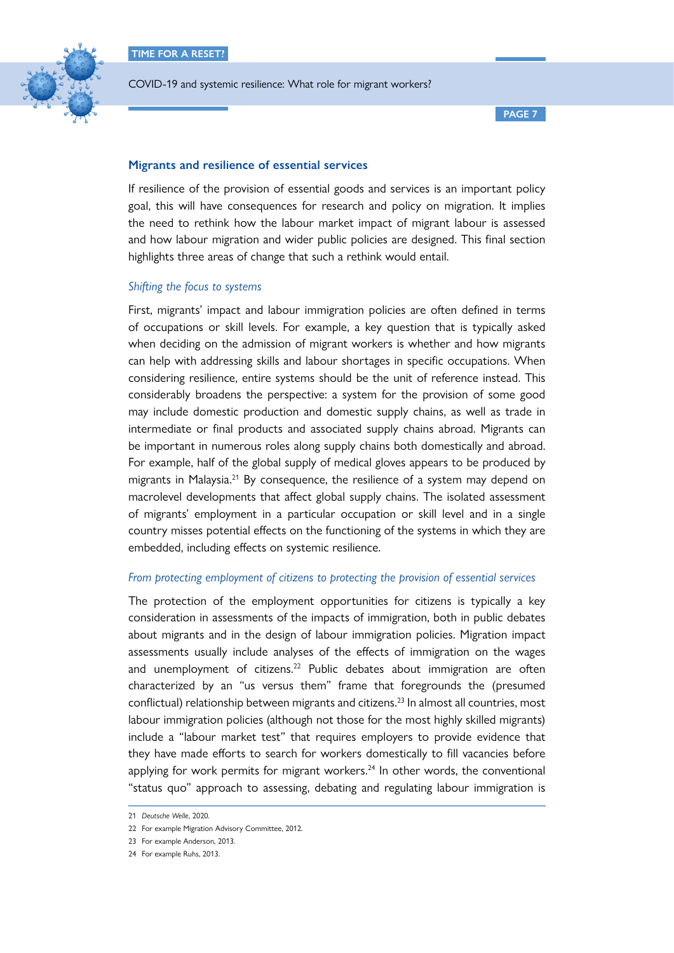

**PAGE 7**

# **Migrants and resilience of essential services**

If resilience of the provision of essential goods and services is an important policy goal, this will have consequences for research and policy on migration. It implies the need to rethink how the labour market impact of migrant labour is assessed and how labour migration and wider public policies are designed. This final section highlights three areas of change that such a rethink would entail.

## *Shifting the focus to systems*

First, migrants' impact and labour immigration policies are often defined in terms of occupations or skill levels. For example, a key question that is typically asked when deciding on the admission of migrant workers is whether and how migrants can help with addressing skills and labour shortages in specific occupations. When considering resilience, entire systems should be the unit of reference instead. This considerably broadens the perspective: a system for the provision of some good may include domestic production and domestic supply chains, as well as trade in intermediate or final products and associated supply chains abroad. Migrants can be important in numerous roles along supply chains both domestically and abroad. For example, half of the global supply of medical gloves appears to be produced by migrants in Malaysia.<sup>21</sup> By consequence, the resilience of a system may depend on macrolevel developments that affect global supply chains. The isolated assessment of migrants' employment in a particular occupation or skill level and in a single country misses potential effects on the functioning of the systems in which they are embedded, including effects on systemic resilience.

## *From protecting employment of citizens to protecting the provision of essential services*

The protection of the employment opportunities for citizens is typically a key consideration in assessments of the impacts of immigration, both in public debates about migrants and in the design of labour immigration policies. Migration impact assessments usually include analyses of the effects of immigration on the wages and unemployment of citizens.<sup>22</sup> Public debates about immigration are often characterized by an "us versus them" frame that foregrounds the (presumed conflictual) relationship between migrants and citizens.<sup>23</sup> In almost all countries, most labour immigration policies (although not those for the most highly skilled migrants) include a "labour market test" that requires employers to provide evidence that they have made efforts to search for workers domestically to fill vacancies before applying for work permits for migrant workers.<sup>24</sup> In other words, the conventional "status quo" approach to assessing, debating and regulating labour immigration is

<sup>21</sup> *Deutsche Welle*, 2020.

<sup>22</sup> For example Migration Advisory Committee, 2012.

<sup>23</sup> For example Anderson, 2013.

<sup>24</sup> For example Ruhs, 2013.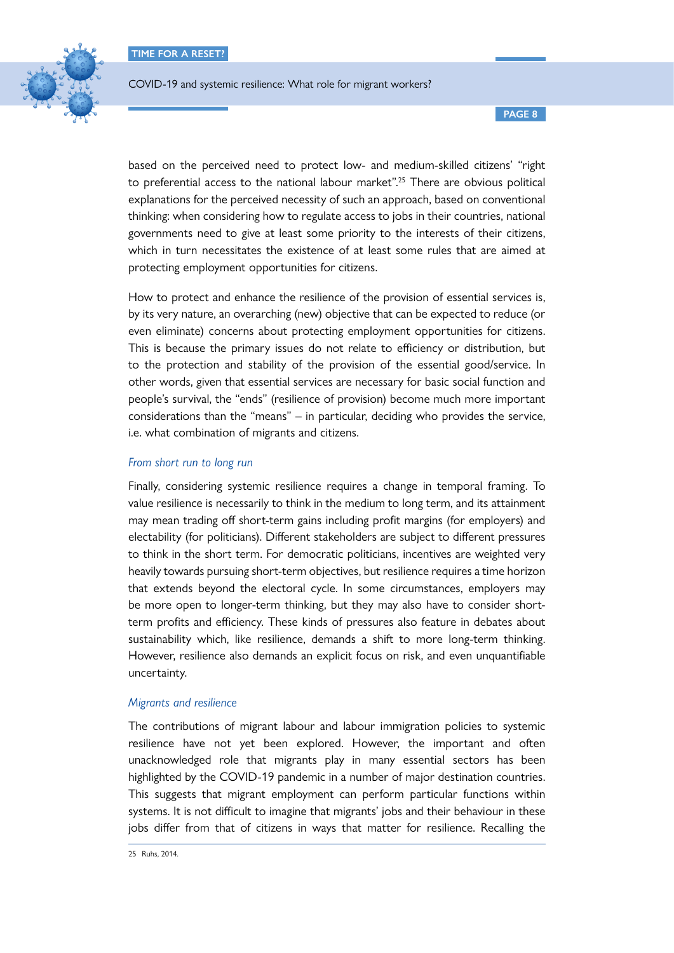

COVID-19 and systemic resilience: What role for migrant workers?

based on the perceived need to protect low- and medium-skilled citizens' "right to preferential access to the national labour market".<sup>25</sup> There are obvious political explanations for the perceived necessity of such an approach, based on conventional thinking: when considering how to regulate access to jobs in their countries, national governments need to give at least some priority to the interests of their citizens, which in turn necessitates the existence of at least some rules that are aimed at protecting employment opportunities for citizens.

How to protect and enhance the resilience of the provision of essential services is, by its very nature, an overarching (new) objective that can be expected to reduce (or even eliminate) concerns about protecting employment opportunities for citizens. This is because the primary issues do not relate to efficiency or distribution, but to the protection and stability of the provision of the essential good/service. In other words, given that essential services are necessary for basic social function and people's survival, the "ends" (resilience of provision) become much more important considerations than the "means" – in particular, deciding who provides the service, i.e. what combination of migrants and citizens.

## *From short run to long run*

Finally, considering systemic resilience requires a change in temporal framing. To value resilience is necessarily to think in the medium to long term, and its attainment may mean trading off short-term gains including profit margins (for employers) and electability (for politicians). Different stakeholders are subject to different pressures to think in the short term. For democratic politicians, incentives are weighted very heavily towards pursuing short-term objectives, but resilience requires a time horizon that extends beyond the electoral cycle. In some circumstances, employers may be more open to longer-term thinking, but they may also have to consider shortterm profits and efficiency. These kinds of pressures also feature in debates about sustainability which, like resilience, demands a shift to more long-term thinking. However, resilience also demands an explicit focus on risk, and even unquantifiable uncertainty.

## *Migrants and resilience*

The contributions of migrant labour and labour immigration policies to systemic resilience have not yet been explored. However, the important and often unacknowledged role that migrants play in many essential sectors has been highlighted by the COVID-19 pandemic in a number of major destination countries. This suggests that migrant employment can perform particular functions within systems. It is not difficult to imagine that migrants' jobs and their behaviour in these jobs differ from that of citizens in ways that matter for resilience. Recalling the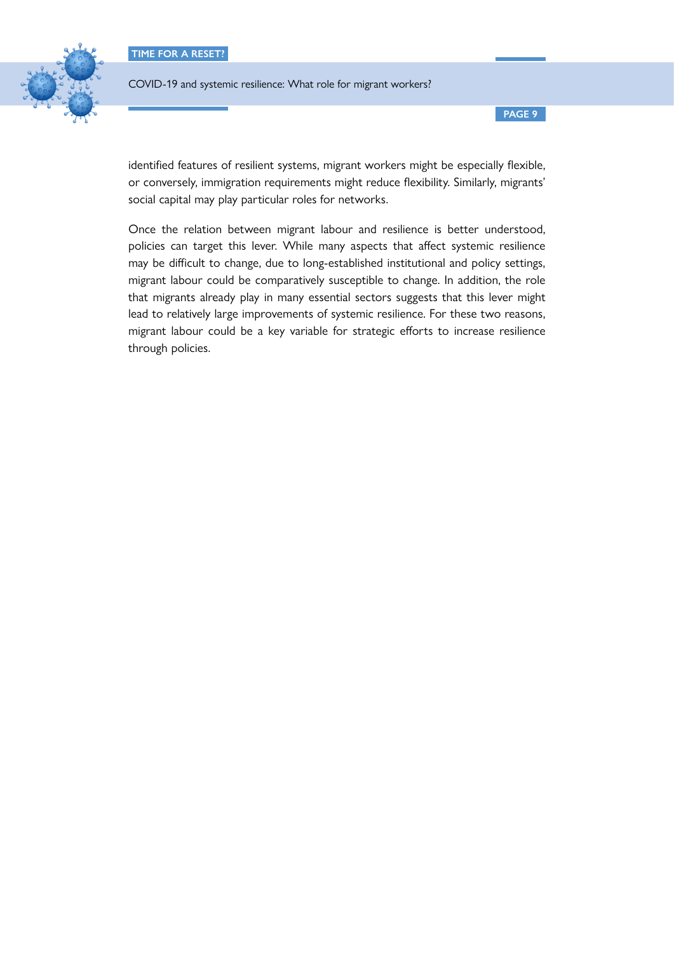

COVID-19 and systemic resilience: What role for migrant workers?

identified features of resilient systems, migrant workers might be especially flexible, or conversely, immigration requirements might reduce flexibility. Similarly, migrants' social capital may play particular roles for networks.

Once the relation between migrant labour and resilience is better understood, policies can target this lever. While many aspects that affect systemic resilience may be difficult to change, due to long-established institutional and policy settings, migrant labour could be comparatively susceptible to change. In addition, the role that migrants already play in many essential sectors suggests that this lever might lead to relatively large improvements of systemic resilience. For these two reasons, migrant labour could be a key variable for strategic efforts to increase resilience through policies.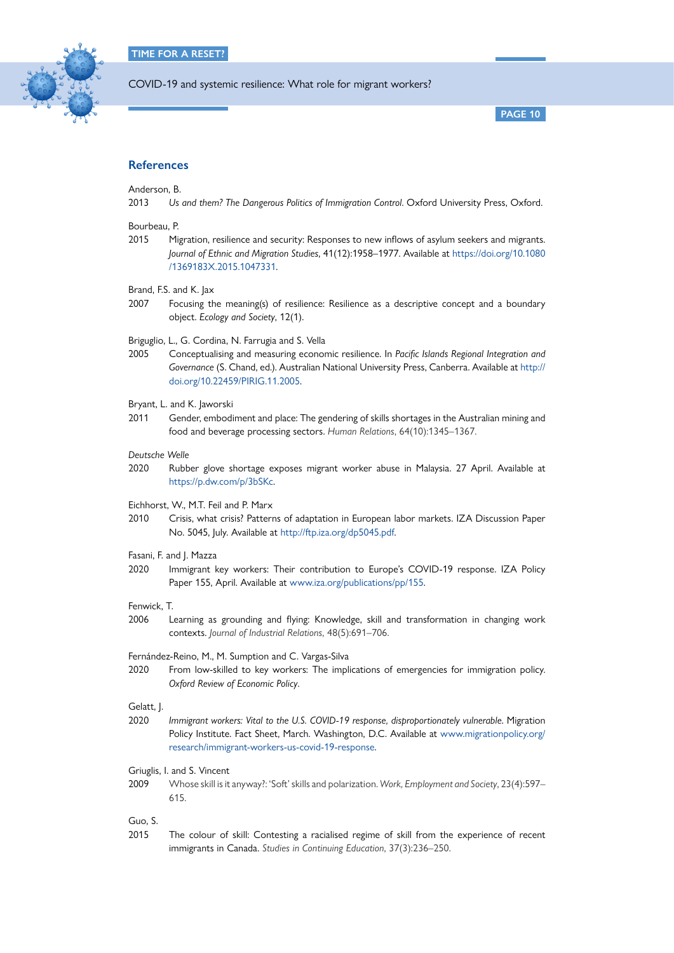

**PAGE 10**

## **References**

Anderson, B.

2013 Us and them? The Dangerous Politics of Immigration Control. Oxford University Press, Oxford.

#### Bourbeau, P.

2015 Migration, resilience and security: Responses to new inflows of asylum seekers and migrants. *Journal of Ethnic and Migration Studies*, 41(12):1958–1977. Available at [https://doi.org/10.1080](https://doi.org/10.1080/1369183X.2015.1047331) [/1369183X.2015.1047331.](https://doi.org/10.1080/1369183X.2015.1047331)

Brand, F.S. and K. Jax

2007 Focusing the meaning(s) of resilience: Resilience as a descriptive concept and a boundary object. *Ecology and Society*, 12(1).

Briguglio, L., G. Cordina, N. Farrugia and S. Vella

2005 Conceptualising and measuring economic resilience. In *Pacific Islands Regional Integration and Governance* (S. Chand, ed.). Australian National University Press, Canberra. Available at [http://](http://doi.org/10.22459/PIRIG.11.2005) [doi.org/10.22459/PIRIG.11.2005](http://doi.org/10.22459/PIRIG.11.2005).

#### Bryant, L. and K. Jaworski

2011 Gender, embodiment and place: The gendering of skills shortages in the Australian mining and food and beverage processing sectors. *Human Relations*, 64(10):1345–1367.

#### *Deutsche Welle*

2020 Rubber glove shortage exposes migrant worker abuse in Malaysia. 27 April. Available at <https://p.dw.com/p/3bSKc>.

Eichhorst, W., M.T. Feil and P. Marx

2010 Crisis, what crisis? Patterns of adaptation in European labor markets. IZA Discussion Paper No. 5045, July. Available at <http://ftp.iza.org/dp5045.pdf>.

#### Fasani, F. and J. Mazza

2020 Immigrant key workers: Their contribution to Europe's COVID-19 response. IZA Policy Paper 155, April. Available at [www.iza.org/publications/pp/155](http://www.iza.org/publications/pp/155).

#### Fenwick, T.

2006 Learning as grounding and flying: Knowledge, skill and transformation in changing work contexts. *Journal of Industrial Relations*, 48(5):691–706.

#### Fernández-Reino, M., M. Sumption and C. Vargas-Silva

2020 From low-skilled to key workers: The implications of emergencies for immigration policy. *Oxford Review of Economic Policy*.

#### Gelatt, J.

2020 *Immigrant workers: Vital to the U.S. COVID-19 response, disproportionately vulnerable*. Migration Policy Institute. Fact Sheet, March. Washington, D.C. Available at [www.migrationpolicy.org/](http://www.migrationpolicy.org/research/immigrant-workers-us-covid-19-response) [research/immigrant-workers-us-covid-19-response.](http://www.migrationpolicy.org/research/immigrant-workers-us-covid-19-response)

Griuglis, I. and S. Vincent

2009 Whose skill is it anyway?: 'Soft' skills and polarization. *Work, Employment and Society*, 23(4):597– 615.

Guo, S.

2015 The colour of skill: Contesting a racialised regime of skill from the experience of recent immigrants in Canada. *Studies in Continuing Education*, 37(3):236–250.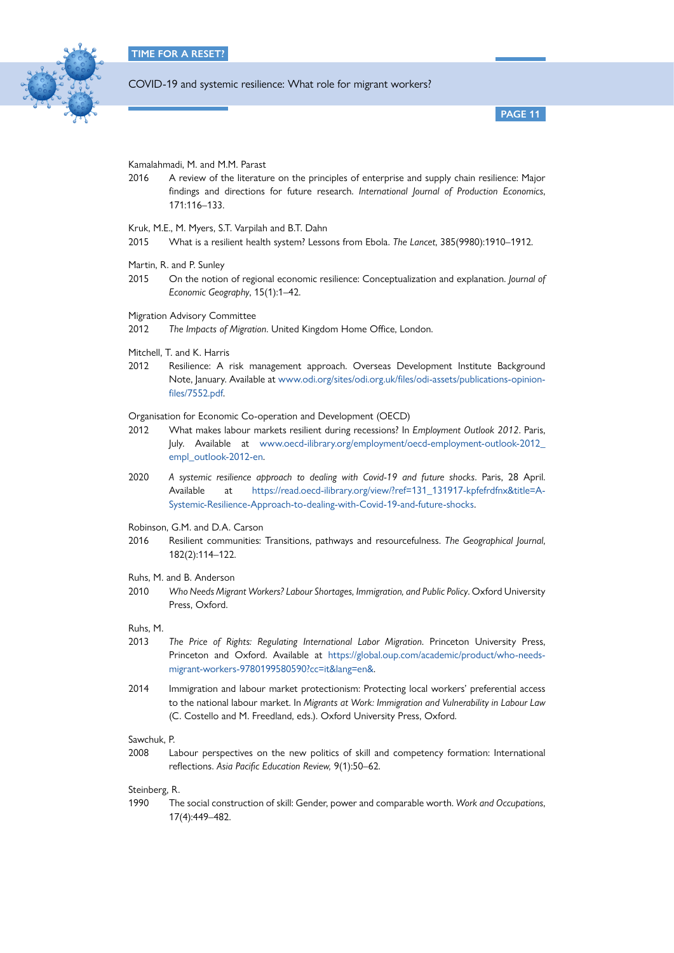

**PAGE 11**

Kamalahmadi, M. and M.M. Parast

2016 A review of the literature on the principles of enterprise and supply chain resilience: Major findings and directions for future research. *International Journal of Production Economics*, 171:116–133.

Kruk, M.E., M. Myers, S.T. Varpilah and B.T. Dahn

- 2015 What is a resilient health system? Lessons from Ebola. *The Lancet*, 385(9980):1910–1912.
- Martin, R. and P. Sunley
- 2015 On the notion of regional economic resilience: Conceptualization and explanation. *Journal of Economic Geography*, 15(1):1–42.
- Migration Advisory Committee
- 2012 *The Impacts of Migration*. United Kingdom Home Office, London.
- Mitchell, T. and K. Harris
- 2012 Resilience: A risk management approach. Overseas Development Institute Background Note, January. Available at [www.odi.org/sites/odi.org.uk/files/odi-assets/publications-opinion](http://www.odi.org/sites/odi.org.uk/files/odi-assets/publications-opinion-files/7552.pdf)[files/7552.pdf](http://www.odi.org/sites/odi.org.uk/files/odi-assets/publications-opinion-files/7552.pdf).

Organisation for Economic Co-operation and Development (OECD)

- 2012 What makes labour markets resilient during recessions? In *Employment Outlook 2012*. Paris, July. Available at [www.oecd-ilibrary.org/employment/oecd-employment-outlook-2012\\_](http://www.oecd-ilibrary.org/employment/oecd-employment-outlook-2012_empl_outlook-2012-en) [empl\\_outlook-2012-en](http://www.oecd-ilibrary.org/employment/oecd-employment-outlook-2012_empl_outlook-2012-en).
- 2020 *A systemic resilience approach to dealing with Covid-19 and future shocks*. Paris, 28 April. Available at [https://read.oecd-ilibrary.org/view/?ref=131\\_131917-kpfefrdfnx&title=A-](https://read.oecd-ilibrary.org/view/?ref=131_131917-kpfefrdfnx&title=A-Systemic-Resilience-Approach-to-dealing-with-Covid-19-and-future-shocks)[Systemic-Resilience-Approach-to-dealing-with-Covid-19-and-future-shocks.](https://read.oecd-ilibrary.org/view/?ref=131_131917-kpfefrdfnx&title=A-Systemic-Resilience-Approach-to-dealing-with-Covid-19-and-future-shocks)
- Robinson, G.M. and D.A. Carson
- 2016 Resilient communities: Transitions, pathways and resourcefulness. *The Geographical Journal*, 182(2):114–122.
- Ruhs, M. and B. Anderson
- 2010 *Who Needs Migrant Workers? Labour Shortages, Immigration, and Public Policy*. Oxford University Press, Oxford.

Ruhs, M.

- 2013 *The Price of Rights: Regulating International Labor Migration*. Princeton University Press, Princeton and Oxford. Available at [https://global.oup.com/academic/product/who-needs](https://global.oup.com/academic/product/who-needs-migrant-workers-9780199580590?cc=it&lang=en&)[migrant-workers-9780199580590?cc=it&lang=en&](https://global.oup.com/academic/product/who-needs-migrant-workers-9780199580590?cc=it&lang=en&).
- 2014 Immigration and labour market protectionism: Protecting local workers' preferential access to the national labour market. In *Migrants at Work: Immigration and Vulnerability in Labour Law*  (C. Costello and M. Freedland, eds.). Oxford University Press, Oxford.

Sawchuk, P.

2008 Labour perspectives on the new politics of skill and competency formation: International reflections. *Asia Pacific Education Review,* 9(1):50–62.

Steinberg, R.

1990 The social construction of skill: Gender, power and comparable worth. *Work and Occupations*, 17(4):449–482.